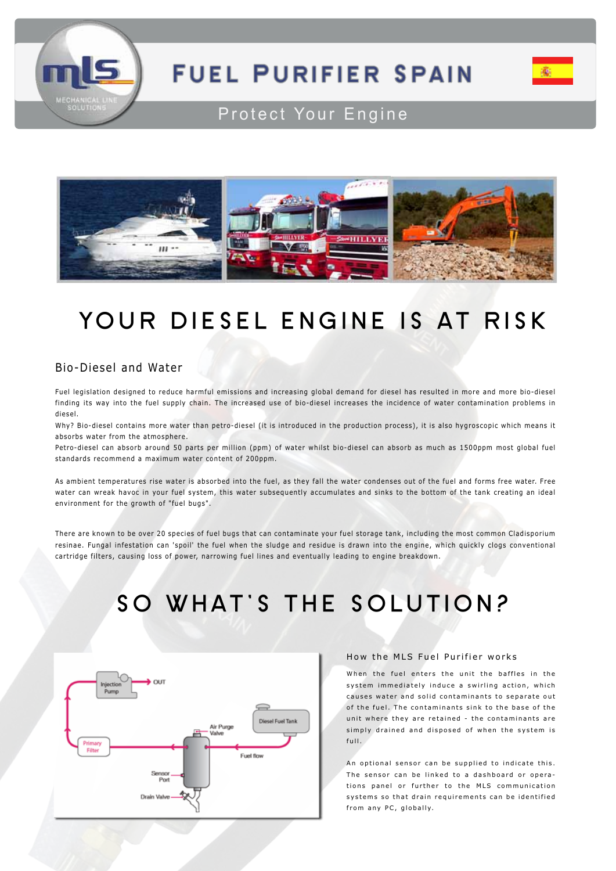

# **FUEL PURIFIER SPAIN**



### Protect Your Engine



## **YOUR DIESEL ENGINE IS AT RISK**

### Bio-Diesel and Water

Fuel legislation designed to reduce harmful emissions and increasing global demand for diesel has resulted in more and more bio-diesel finding its way into the fuel supply chain. The increased use of bio-diesel increases the incidence of water contamination problems in diesel.

Why? Bio-diesel contains more water than petro-diesel (it is introduced in the production process), it is also hygroscopic which means it absorbs water from the atmosphere.

Petro-diesel can absorb around 50 parts per million (ppm) of water whilst bio-diesel can absorb as much as 1500ppm most global fuel standards recommend a maximum water content of 200ppm.

As ambient temperatures rise water is absorbed into the fuel, as they fall the water condenses out of the fuel and forms free water. Free water can wreak havoc in your fuel system, this water subsequently accumulates and sinks to the bottom of the tank creating an ideal environment for the growth of "fuel bugs".

There are known to be over 20 species of fuel bugs that can contaminate your fuel storage tank, including the most common Cladisporium resinae. Fungal infestation can 'spoil' the fuel when the sludge and residue is drawn into the engine, which quickly clogs conventional cartridge filters, causing loss of power, narrowing fuel lines and eventually leading to engine breakdown.

# **SO WHAT'S THE SOLUTION?**



### How the MLS Fuel Purifier works

When the fuel enters the unit the baffles in the system immediately induce a swirling action, which causes water and solid contaminants to separate out of the fuel. The contaminants sink to the base of the unit where they are retained - the contaminants are simply drained and disposed of when the system is full.

An optional sensor can be supplied to indicate this. The sensor can be linked to a dashboard or operations panel or further to the MLS communication systems so that drain requirements can be identified from any PC, globally.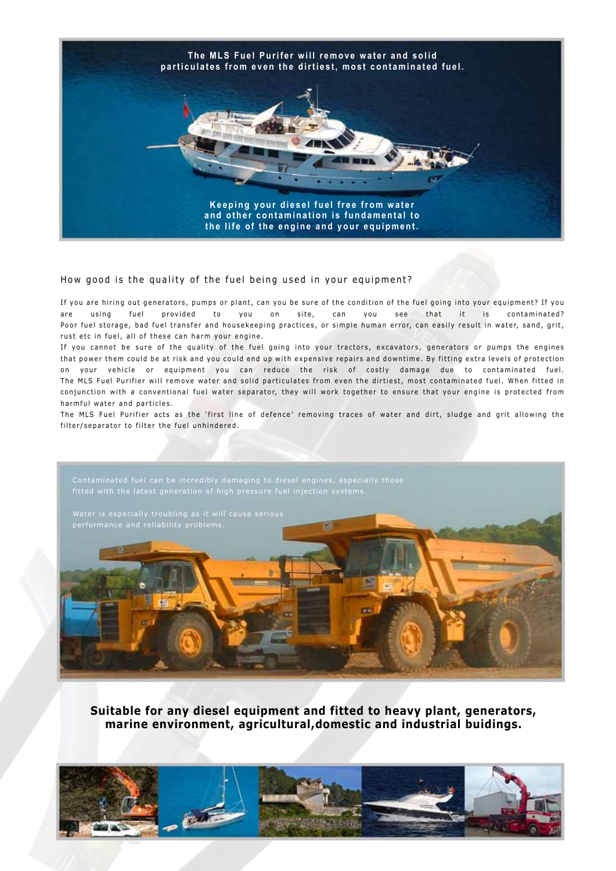

### How good is the quality of the fuel being used in your equipment?

If you are hiring out generators, pumps or plant, can you be sure of the condition of the fuel going into your equipment? If you are using fuel provided to you on site, can you see that it is contaminated? Poor fuel storage, bad fuel transfer and housekeeping practices, or simple human error, can easily result in water, sand, grit, rust etc in fuel, all of these can harm your engine.

If you cannot be sure of the quality of the fuel going into your tractors, excavators, generators or pumps the engines that power them could be at risk and you could end up with expensive repairs and downtime. By fitting extra levels of protection on your vehicle or equipment you can reduce the risk of costly damage due to contaminated fuel. The MLS Fuel Purifier will remove water and solid particulates from even the dirtiest, most contaminated fuel. When fitted in conjunction with a conventional fuel water separator, they will work together to ensure that your engine is protected from harmful water and particles.

The MLS Fuel Purifier acts as the 'first line of defence' removing traces of water and dirt, sludge and grit allowing the filter/separator to filter the fuel unhindered.



**Suitable for any diesel equipment and fitted to heavy plant, generators, marine environment, agricultural,domestic and industrial buidings.**